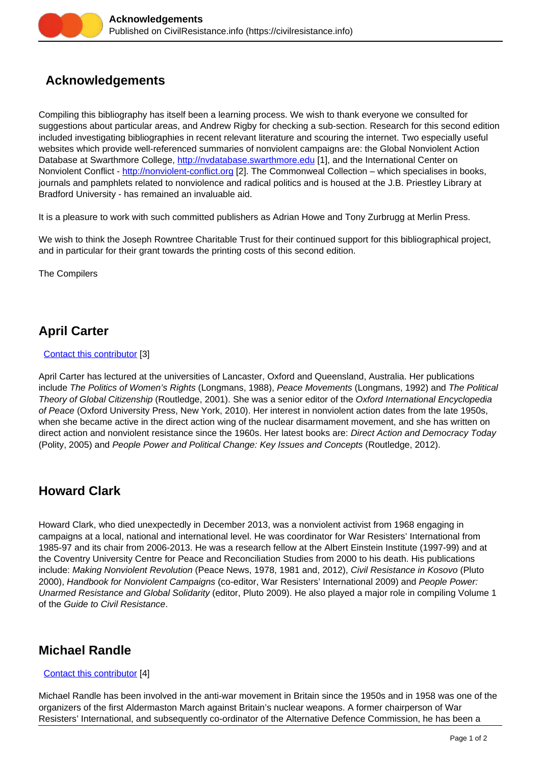# **Acknowledgements**

Compiling this bibliography has itself been a learning process. We wish to thank everyone we consulted for suggestions about particular areas, and Andrew Rigby for checking a sub-section. Research for this second edition included investigating bibliographies in recent relevant literature and scouring the internet. Two especially useful websites which provide well-referenced summaries of nonviolent campaigns are: the Global Nonviolent Action Database at Swarthmore College,<http://nvdatabase.swarthmore.edu> [1], and the International Center on Nonviolent Conflict - <http://nonviolent-conflict.org> [2]. The Commonweal Collection – which specialises in books, journals and pamphlets related to nonviolence and radical politics and is housed at the J.B. Priestley Library at Bradford University - has remained an invaluable aid.

It is a pleasure to work with such committed publishers as Adrian Howe and Tony Zurbrugg at Merlin Press.

We wish to think the Joseph Rowntree Charitable Trust for their continued support for this bibliographical project, and in particular for their grant towards the printing costs of this second edition.

The Compilers

# **April Carter**

### [Contact this contributor](https://civilresistance.info/user/6/contact) [3]

April Carter has lectured at the universities of Lancaster, Oxford and Queensland, Australia. Her publications include The Politics of Women's Rights (Longmans, 1988), Peace Movements (Longmans, 1992) and The Political Theory of Global Citizenship (Routledge, 2001). She was a senior editor of the Oxford International Encyclopedia of Peace (Oxford University Press, New York, 2010). Her interest in nonviolent action dates from the late 1950s, when she became active in the direct action wing of the nuclear disarmament movement, and she has written on direct action and nonviolent resistance since the 1960s. Her latest books are: Direct Action and Democracy Today (Polity, 2005) and People Power and Political Change: Key Issues and Concepts (Routledge, 2012).

### **Howard Clark**

Howard Clark, who died unexpectedly in December 2013, was a nonviolent activist from 1968 engaging in campaigns at a local, national and international level. He was coordinator for War Resisters' International from 1985-97 and its chair from 2006-2013. He was a research fellow at the Albert Einstein Institute (1997-99) and at the Coventry University Centre for Peace and Reconciliation Studies from 2000 to his death. His publications include: Making Nonviolent Revolution (Peace News, 1978, 1981 and, 2012), Civil Resistance in Kosovo (Pluto 2000), Handbook for Nonviolent Campaigns (co-editor, War Resisters' International 2009) and People Power: Unarmed Resistance and Global Solidarity (editor, Pluto 2009). He also played a major role in compiling Volume 1 of the Guide to Civil Resistance.

## **Michael Randle**

### [Contact this contributor](https://civilresistance.info/user/7/contact) [4]

Michael Randle has been involved in the anti-war movement in Britain since the 1950s and in 1958 was one of the organizers of the first Aldermaston March against Britain's nuclear weapons. A former chairperson of War Resisters' International, and subsequently co-ordinator of the Alternative Defence Commission, he has been a